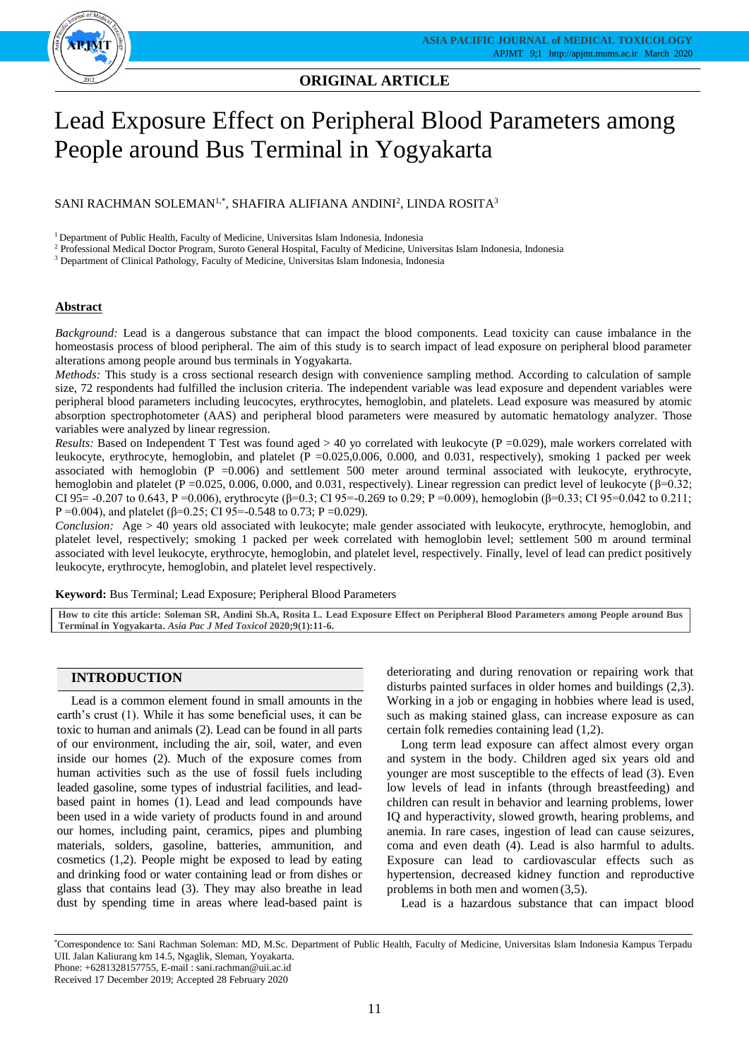

## **ORIGINAL ARTICLE ORIGINAL ARTICLE**

# Lead Exposure Effect on Peripheral Blood Parameters among People around Bus Terminal in Yogyakarta

SANI RACHMAN SOLEMAN $^{1,\ast},$  SHAFIRA ALIFIANA ANDINI $^2$ , LINDA ROSITA $^3$ 

<sup>1</sup> Department of Public Health, Faculty of Medicine, Universitas Islam Indonesia, Indonesia

<sup>2</sup> Professional Medical Doctor Program, Suroto General Hospital, Faculty of Medicine, Universitas Islam Indonesia, Indonesia

<sup>3</sup> Department of Clinical Pathology, Faculty of Medicine, Universitas Islam Indonesia, Indonesia

## **Abstract**

*Background:* Lead is a dangerous substance that can impact the blood components. Lead toxicity can cause imbalance in the homeostasis process of blood peripheral. The aim of this study is to search impact of lead exposure on peripheral blood parameter alterations among people around bus terminals in Yogyakarta.

*Methods:* This study is a cross sectional research design with convenience sampling method. According to calculation of sample size, 72 respondents had fulfilled the inclusion criteria. The independent variable was lead exposure and dependent variables were peripheral blood parameters including leucocytes, erythrocytes, hemoglobin, and platelets. Lead exposure was measured by atomic absorption spectrophotometer (AAS) and peripheral blood parameters were measured by automatic hematology analyzer. Those variables were analyzed by linear regression.

*Results:* Based on Independent T Test was found aged  $> 40$  yo correlated with leukocyte ( $P = 0.029$ ), male workers correlated with leukocyte, erythrocyte, hemoglobin, and platelet (P =0.025,0.006, 0.000, and 0.031, respectively), smoking 1 packed per week associated with hemoglobin (P =0.006) and settlement 500 meter around terminal associated with leukocyte, erythrocyte, hemoglobin and platelet (P = 0.025, 0.006, 0.000, and 0.031, respectively). Linear regression can predict level of leukocyte (β=0.32; CI 95=  $-0.207$  to 0.643, P =0.006), erythrocyte (β=0.3; CI 95= $-0.269$  to 0.29; P =0.009), hemoglobin (β=0.33; CI 95=0.042 to 0.211; P = 0.004), and platelet (β=0.25; CI 95 = -0.548 to 0.73; P = 0.029).

*Conclusion:*Age > 40 years old associated with leukocyte; male gender associated with leukocyte, erythrocyte, hemoglobin, and platelet level, respectively; smoking 1 packed per week correlated with hemoglobin level; settlement 500 m around terminal associated with level leukocyte, erythrocyte, hemoglobin, and platelet level, respectively. Finally, level of lead can predict positively leukocyte, erythrocyte, hemoglobin, and platelet level respectively.

**Keyword:** Bus Terminal; Lead Exposure; Peripheral Blood Parameters

**How to cite this article: Soleman SR, Andini Sh.A, Rosita L. Lead Exposure Effect on Peripheral Blood Parameters among People around Bus Terminal in Yogyakarta.** *Asia Pac J Med Toxicol* **2020;9(1):11-6.**

## **INTRODUCTION**

Lead is a common element found in small amounts in the earth's crust (1). While it has some beneficial uses, it can be toxic to human and animals (2). Lead can be found in all parts of our environment, including the air, soil, water, and even inside our homes (2). Much of the exposure comes from human activities such as the use of fossil fuels including leaded gasoline, some types of industrial facilities, and leadbased paint in homes (1). Lead and lead compounds have been used in a wide variety of products found in and around our homes, including paint, ceramics, pipes and plumbing materials, solders, gasoline, batteries, ammunition, and cosmetics (1,2). People might be exposed to lead by eating and drinking food or water containing lead or from dishes or glass that contains lead (3). They may also breathe in lead dust by spending time in areas where lead-based paint is

deteriorating and during renovation or repairing work that disturbs painted surfaces in older homes and buildings (2,3). Working in a job or engaging in hobbies where lead is used, such as making stained glass, can increase exposure as can certain folk remedies containing lead (1,2).

Long term lead exposure can affect almost every organ and system in the body. Children aged six years old and younger are most susceptible to the effects of lead (3). Even low levels of lead in infants (through breastfeeding) and children can result in behavior and learning problems, lower IQ and hyperactivity, slowed growth, hearing problems, and anemia. In rare cases, ingestion of lead can cause seizures, coma and even death (4). Lead is also harmful to adults. Exposure can lead to cardiovascular effects such as hypertension, decreased kidney function and reproductive problems in both men and women (3,5).

Lead is a hazardous substance that can impact blood

<sup>\*</sup>Correspondence to: Sani Rachman Soleman: MD, M.Sc. Department of Public Health, Faculty of Medicine, Universitas Islam Indonesia Kampus Terpadu UII. Jalan Kaliurang km 14.5, Ngaglik, Sleman, Yoyakarta. Phone: +6281328157755, E-mail : sani.rachman@uii.ac.id

Received 17 December 2019; Accepted 28 February 2020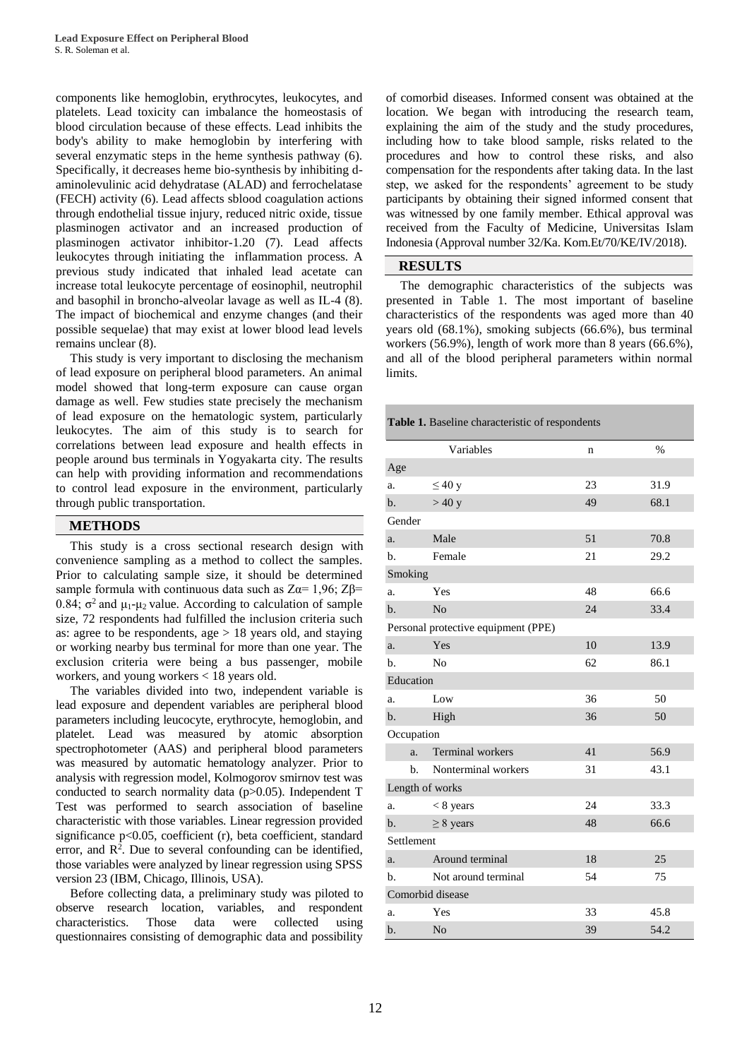components like hemoglobin, erythrocytes, leukocytes, and platelets. Lead toxicity can imbalance the homeostasis of blood circulation because of these effects. Lead inhibits the body's ability to make hemoglobin by interfering with several enzymatic steps in the heme synthesis pathway (6). Specifically, it decreases heme bio-synthesis by inhibiting daminolevulinic acid dehydratase (ALAD) and ferrochelatase (FECH) activity (6). Lead affects sblood coagulation actions through endothelial tissue injury, reduced nitric oxide, tissue plasminogen activator and an increased production of plasminogen activator inhibitor-1.20 (7). Lead affects leukocytes through initiating the inflammation process. A previous study indicated that inhaled lead acetate can increase total leukocyte percentage of eosinophil, neutrophil and basophil in broncho-alveolar lavage as well as IL-4 (8). The impact of biochemical and enzyme changes (and their possible sequelae) that may exist at lower blood lead levels remains unclear (8).

This study is very important to disclosing the mechanism of lead exposure on peripheral blood parameters. An animal model showed that long-term exposure can cause organ damage as well. Few studies state precisely the mechanism of lead exposure on the hematologic system, particularly leukocytes. The aim of this study is to search for correlations between lead exposure and health effects in people around bus terminals in Yogyakarta city. The results can help with providing information and recommendations to control lead exposure in the environment, particularly through public transportation.

#### **METHODS**

This study is a cross sectional research design with convenience sampling as a method to collect the samples. Prior to calculating sample size, it should be determined sample formula with continuous data such as  $Z\alpha = 1.96$ ;  $Z\beta =$ 0.84;  $\sigma^2$  and  $\mu_1$ - $\mu_2$  value. According to calculation of sample size, 72 respondents had fulfilled the inclusion criteria such as: agree to be respondents, age > 18 years old, and staying or working nearby bus terminal for more than one year. The exclusion criteria were being a bus passenger, mobile workers, and young workers < 18 years old.

The variables divided into two, independent variable is lead exposure and dependent variables are peripheral blood parameters including leucocyte, erythrocyte, hemoglobin, and platelet. Lead was measured by atomic absorption spectrophotometer (AAS) and peripheral blood parameters was measured by automatic hematology analyzer. Prior to analysis with regression model, Kolmogorov smirnov test was conducted to search normality data (p>0.05). Independent T Test was performed to search association of baseline characteristic with those variables. Linear regression provided significance p<0.05, coefficient (r), beta coefficient, standard error, and  $\mathbb{R}^2$ . Due to several confounding can be identified, those variables were analyzed by linear regression using SPSS version 23 (IBM, Chicago, Illinois, USA).

Before collecting data, a preliminary study was piloted to observe research location, variables, and respondent characteristics. Those data were collected using questionnaires consisting of demographic data and possibility

of comorbid diseases. Informed consent was obtained at the location. We began with introducing the research team, explaining the aim of the study and the study procedures, including how to take blood sample, risks related to the procedures and how to control these risks, and also compensation for the respondents after taking data. In the last step, we asked for the respondents' agreement to be study participants by obtaining their signed informed consent that was witnessed by one family member. Ethical approval was received from the Faculty of Medicine, Universitas Islam Indonesia (Approval number 32/Ka. Kom.Et/70/KE/IV/2018).

## **RESULTS**

The demographic characteristics of the subjects was presented in Table 1. The most important of baseline characteristics of the respondents was aged more than 40 years old (68.1%), smoking subjects (66.6%), bus terminal workers (56.9%), length of work more than 8 years (66.6%), and all of the blood peripheral parameters within normal limits.

**Table 1.** Baseline characteristic of respondents

|                                     | Variables                     | n  | $\frac{0}{0}$ |  |  |
|-------------------------------------|-------------------------------|----|---------------|--|--|
| Age                                 |                               |    |               |  |  |
| a.                                  | $\leq 40$ y                   | 23 | 31.9          |  |  |
| $\mathbf{b}$ .                      | >40 y                         | 49 | 68.1          |  |  |
| Gender                              |                               |    |               |  |  |
| a.                                  | Male                          | 51 | 70.8          |  |  |
| b.                                  | Female                        | 21 | 29.2          |  |  |
| Smoking                             |                               |    |               |  |  |
| a.                                  | Yes                           | 48 | 66.6          |  |  |
| $b$                                 | N <sub>0</sub>                | 24 | 33.4          |  |  |
| Personal protective equipment (PPE) |                               |    |               |  |  |
| a.                                  | Yes                           | 10 | 13.9          |  |  |
| b.                                  | No                            | 62 | 86.1          |  |  |
| Education                           |                               |    |               |  |  |
| a.                                  | Low                           | 36 | 50            |  |  |
| $b$ .                               | High                          | 36 | 50            |  |  |
| Occupation                          |                               |    |               |  |  |
|                                     | <b>Terminal</b> workers<br>a. | 41 | 56.9          |  |  |
|                                     | Nonterminal workers<br>b.     | 31 | 43.1          |  |  |
| Length of works                     |                               |    |               |  |  |
| a.                                  | $< 8$ years                   | 24 | 33.3          |  |  |
| b.                                  | $\geq$ 8 years                | 48 | 66.6          |  |  |
| Settlement                          |                               |    |               |  |  |
| a.                                  | Around terminal               | 18 | 25            |  |  |
| b.                                  | Not around terminal           | 54 | 75            |  |  |
| Comorbid disease                    |                               |    |               |  |  |
| a.                                  | Yes                           | 33 | 45.8          |  |  |
| b.                                  | N <sub>o</sub>                | 39 | 54.2          |  |  |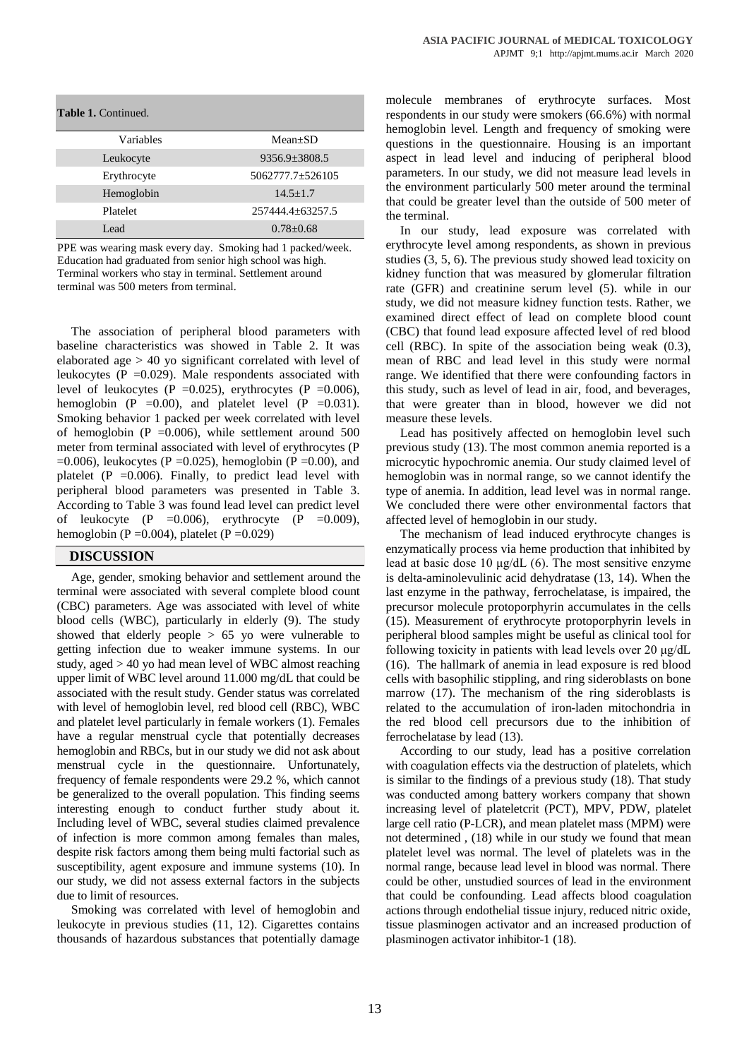| <b>Table 1. Continued.</b> |                     |
|----------------------------|---------------------|
| Variables                  | $Mean+SD$           |
| Leukocyte                  | $9356.9 \pm 3808.5$ |
| Erythrocyte                | 5062777.7±526105    |
| Hemoglobin                 | $14.5 + 1.7$        |
| Platelet                   | 257444.4+63257.5    |
| Lead                       | $0.78 + 0.68$       |

PPE was wearing mask every day. Smoking had 1 packed/week. Education had graduated from senior high school was high. Terminal workers who stay in terminal. Settlement around terminal was 500 meters from terminal.

The association of peripheral blood parameters with baseline characteristics was showed in Table 2. It was elaborated age > 40 yo significant correlated with level of leukocytes (P =0.029). Male respondents associated with level of leukocytes (P = 0.025), erythrocytes (P = 0.006), hemoglobin (P = 0.00), and platelet level (P = 0.031). Smoking behavior 1 packed per week correlated with level of hemoglobin (P =  $0.006$ ), while settlement around 500 meter from terminal associated with level of erythrocytes (P  $=0.006$ ), leukocytes (P  $=0.025$ ), hemoglobin (P  $=0.00$ ), and platelet  $(P = 0.006)$ . Finally, to predict lead level with peripheral blood parameters was presented in Table 3. According to Table 3 was found lead level can predict level of leukocyte (P = 0.006), erythrocyte (P = 0.009), hemoglobin (P =  $0.004$ ), platelet (P =  $0.029$ )

### **DISCUSSION**

Age, gender, smoking behavior and settlement around the terminal were associated with several complete blood count (CBC) parameters. Age was associated with level of white blood cells (WBC), particularly in elderly (9). The study showed that elderly people  $> 65$  yo were vulnerable to getting infection due to weaker immune systems. In our study, aged > 40 yo had mean level of WBC almost reaching upper limit of WBC level around 11.000 mg/dL that could be associated with the result study. Gender status was correlated with level of hemoglobin level, red blood cell (RBC), WBC and platelet level particularly in female workers (1). Females have a regular menstrual cycle that potentially decreases hemoglobin and RBCs, but in our study we did not ask about menstrual cycle in the questionnaire. Unfortunately, frequency of female respondents were 29.2 %, which cannot be generalized to the overall population. This finding seems interesting enough to conduct further study about it. Including level of WBC, several studies claimed prevalence of infection is more common among females than males, despite risk factors among them being multi factorial such as susceptibility, agent exposure and immune systems (10). In our study, we did not assess external factors in the subjects due to limit of resources.

Smoking was correlated with level of hemoglobin and leukocyte in previous studies (11, 12). Cigarettes contains thousands of hazardous substances that potentially damage

molecule membranes of erythrocyte surfaces. Most respondents in our study were smokers (66.6%) with normal hemoglobin level. Length and frequency of smoking were questions in the questionnaire. Housing is an important aspect in lead level and inducing of peripheral blood parameters. In our study, we did not measure lead levels in the environment particularly 500 meter around the terminal that could be greater level than the outside of 500 meter of the terminal.

In our study, lead exposure was correlated with erythrocyte level among respondents, as shown in previous studies (3, 5, 6). The previous study showed lead toxicity on kidney function that was measured by glomerular filtration rate (GFR) and creatinine serum level (5). while in our study, we did not measure kidney function tests. Rather, we examined direct effect of lead on complete blood count (CBC) that found lead exposure affected level of red blood cell (RBC). In spite of the association being weak (0.3), mean of RBC and lead level in this study were normal range. We identified that there were confounding factors in this study, such as level of lead in air, food, and beverages, that were greater than in blood, however we did not measure these levels.

Lead has positively affected on hemoglobin level such previous study (13). The most common anemia reported is a microcytic hypochromic anemia. Our study claimed level of hemoglobin was in normal range, so we cannot identify the type of anemia. In addition, lead level was in normal range. We concluded there were other environmental factors that affected level of hemoglobin in our study.

The mechanism of lead induced erythrocyte changes is enzymatically process via heme production that inhibited by lead at basic dose 10 μg/dL (6). The most sensitive enzyme is delta-aminolevulinic acid dehydratase (13, 14). When the last enzyme in the pathway, ferrochelatase, is impaired, the precursor molecule protoporphyrin accumulates in the cells (15). Measurement of erythrocyte protoporphyrin levels in peripheral blood samples might be useful as clinical tool for following toxicity in patients with lead levels over 20 μg/dL (16). The hallmark of anemia in lead exposure is red blood cells with basophilic stippling, and ring sideroblasts on bone marrow (17). The mechanism of the ring sideroblasts is related to the accumulation of iron-laden mitochondria in the red blood cell precursors due to the inhibition of ferrochelatase by lead (13).

According to our study, lead has a positive correlation with coagulation effects via the destruction of platelets, which is similar to the findings of a previous study (18). That study was conducted among battery workers company that shown increasing level of plateletcrit (PCT), MPV, PDW, platelet large cell ratio (P-LCR), and mean platelet mass (MPM) were not determined , (18) while in our study we found that mean platelet level was normal. The level of platelets was in the normal range, because lead level in blood was normal. There could be other, unstudied sources of lead in the environment that could be confounding. Lead affects blood coagulation actions through endothelial tissue injury, reduced nitric oxide, tissue plasminogen activator and an increased production of plasminogen activator inhibitor-1 (18).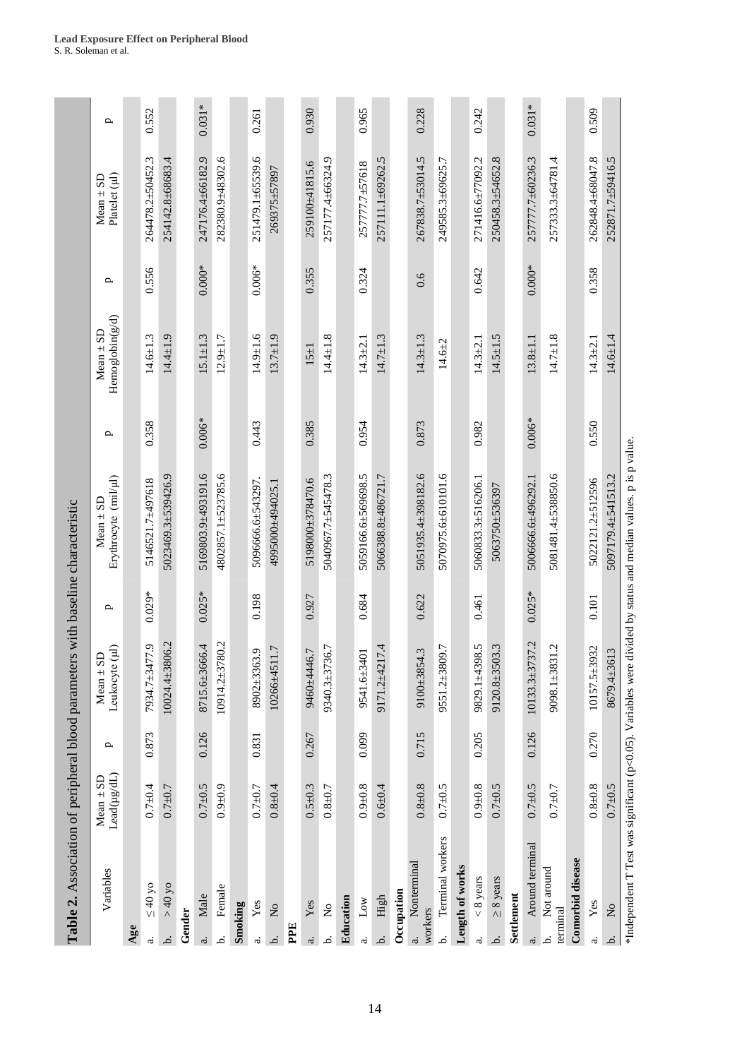|                | Table 2. Association of peripheral blood parameters with baseline characteristic |                                                       |              |                                           |          |                                                                                                                 |              |                                  |              |                                  |              |
|----------------|----------------------------------------------------------------------------------|-------------------------------------------------------|--------------|-------------------------------------------|----------|-----------------------------------------------------------------------------------------------------------------|--------------|----------------------------------|--------------|----------------------------------|--------------|
|                | Variables                                                                        | $\text{Lead}(\mu\text{g}/\text{dL})$<br>$Mean \pm SD$ | $\mathbf{p}$ | Leukocyte (µl)<br>$Mean \pm SD$           | ≏        | Erythrocyte (mil/µl)<br>Mean $\pm$ SD                                                                           | $\mathbf{p}$ | Hemoglobin(g/d)<br>$Mean \pm SD$ | $\mathbf{p}$ | $Mean \pm SD$<br>$Platedet (µl)$ | $\mathbf{p}$ |
| Age            |                                                                                  |                                                       |              |                                           |          |                                                                                                                 |              |                                  |              |                                  |              |
| $\vec{a}$      | $\leq 40$ yo                                                                     | $0.7 + 0.4$                                           | 0.873        | 6' LLVE <sup>T</sup> L' v <sub>56</sub> L | $0.029*$ | 5146521.7±497618                                                                                                | 0.358        | $14.6 \pm 1.3$                   | 0.556        | 264478.2±50452.3                 | 0.552        |
| نم.            | $>40$ yo                                                                         | $0.7 + 0.7$                                           |              | 10024.4±3806.2                            |          | 5023469.3±539426.9                                                                                              |              | $14.4 \pm 1.9$                   |              | 254142.8±68683.4                 |              |
| Gender         |                                                                                  |                                                       |              |                                           |          |                                                                                                                 |              |                                  |              |                                  |              |
|                | Male                                                                             | $0.7 + 0.5$                                           | 0.126        | 66.4<br>8715.6±36                         | $0.025*$ | 5169803.9±493191.6                                                                                              | $0.006*$     | $15.1 \pm 1.3$                   | $0.000*$     | 247176.4±66182.9                 | $0.031*$     |
| خـ             | Female                                                                           | $0.9 + 0.9$                                           |              | 10914.2±3780.2                            |          | 4802857.1±523785.6                                                                                              |              | $12.9 + 1.7$                     |              | 282380.9±48302.6                 |              |
|                | Smoking                                                                          |                                                       |              |                                           |          |                                                                                                                 |              |                                  |              |                                  |              |
| $\vec{\omega}$ | Yes                                                                              | $0.7 + 0.7$                                           | 0.831        | 8902±3363.9                               | 0.198    | 5096666.6±543297.                                                                                               | 0.443        | $14.9 \pm 1.6$                   | $0.006*$     | 251479.1±65539.6                 | 0.261        |
| نم.            | $\mathsf{S}^{\mathsf{O}}$                                                        | $0.8 + 0.4$                                           |              | 1.7<br>10266±451                          |          | 4995000±494025.1                                                                                                |              | $13.7 + 1.9$                     |              | 269375±57897                     |              |
| PPE            |                                                                                  |                                                       |              |                                           |          |                                                                                                                 |              |                                  |              |                                  |              |
| ä.             | Yes                                                                              | $0.5 + 0.3$                                           | 0.267        | 9460±4446.7                               | 0.927    | 5198000±378470.6                                                                                                | 0.385        | $15 \pm 1$                       | 0.355        | 259100±41815.6                   | 0.930        |
| .<br>د         | $\mathsf{S}^{\mathsf{O}}$                                                        | $0.8 + 0.7$                                           |              | 36.7<br>9340.3±37                         |          | 5040967.7±545478.3                                                                                              |              | $14.4 \pm 1.8$                   |              | 257177.4±66324.9                 |              |
|                | Education                                                                        |                                                       |              |                                           |          |                                                                                                                 |              |                                  |              |                                  |              |
| $\vec{a}$      | $_{\rm Low}$                                                                     | $0.9 + 0.8$                                           | 0.099        | 9541.6±3401                               | 0.684    | 5059166.6±569698.5                                                                                              | 0.954        | $14.3 \pm 2.1$                   | 0.324        | 257777.7±57618                   | 0.965        |
| نمـ            | High                                                                             | $0.6 + 0.4$                                           |              | 17.4<br>9171.2±42                         |          | 5066388.8±486721.7                                                                                              |              | $14.7 \pm 1.3$                   |              | 257111.1±69262.5                 |              |
|                | Occupation                                                                       |                                                       |              |                                           |          |                                                                                                                 |              |                                  |              |                                  |              |
| $\ddot{a}$     | Nonterminal<br>workers                                                           | $0.8 + 0.8$                                           | 0.715        | 9100±3854.3                               | 0.622    | 5051935.4±398182.6                                                                                              | 0.873        | $14.3 \pm 1.3$                   | 0.6          | 267838.7±53014.5                 | 0.228        |
| نم             | Terminal workers                                                                 | $0.7 + 0.5$                                           |              | 9551.2±3809.7                             |          | 5070975.6±610101.6                                                                                              |              | $14.6 + 2$                       |              | 249585.3±69625.7                 |              |
|                | Length of works                                                                  |                                                       |              |                                           |          |                                                                                                                 |              |                                  |              |                                  |              |
| $\dot{\varpi}$ | $< 8$ years                                                                      | $0.9 + 0.8$                                           | 0.205        | 9829.1±4398.5                             | 0.461    | 5060833.3±516206.1                                                                                              | 0.982        | $14.3 \pm 2.1$                   | 0.642        | 271416.6±77092.2                 | 0.242        |
| .<br>ط         | $\geq 8$ years                                                                   | $0.7 + 0.5$                                           |              | 03.3<br>$9120.8 + 35$                     |          | 5063750±536397                                                                                                  |              | $14.5 \pm 1.5$                   |              | 250458.3±54652.8                 |              |
|                | Settlement                                                                       |                                                       |              |                                           |          |                                                                                                                 |              |                                  |              |                                  |              |
| $\ddot{a}$     | Around terminal                                                                  | $0.7 + 0.5$                                           | 0.126        | 10133.3±3737.2                            | $0.025*$ | 5006666.6±496292.1                                                                                              | $0.006*$     | $13.8 \pm 1.1$                   | $0.000*$     | 257777.7±60236.3                 | $0.031*$     |
| .<br>ط         | Not around<br>terminal                                                           | $0.7 + 0.7$                                           |              | 31.2<br>9098.1±38                         |          | 5081481.4±538850.6                                                                                              |              | $14.7 \pm 1.8$                   |              | 257333.3±64781.4                 |              |
|                | Comorbid disease                                                                 |                                                       |              |                                           |          |                                                                                                                 |              |                                  |              |                                  |              |
| $\dot{\rm a}$  | Yes                                                                              | $0.8 + 0.8$                                           | 0.270        | 10157.5±3932                              | 0.101    | 5022121.2±512596                                                                                                | 0.550        | $14.3 \pm 2.1$                   | 0.358        | 262848.4±68047.8                 | 0.509        |
| .<br>م         | $\mathsf{S}^{\mathsf{o}}$                                                        | $0.7 + 0.5$                                           |              | 8679.4±3613                               |          | 5097179.4±541513.2                                                                                              |              | $14.6 + 1.4$                     |              | 252871.7±59416.5                 |              |
|                |                                                                                  |                                                       |              |                                           |          | *Independent T Test was significant (p<0.05). Variables were divided by status and median values, p is p value. |              |                                  |              |                                  |              |

**Lead Exposure Effect on Peripheral Blood**  S. R. Soleman et al.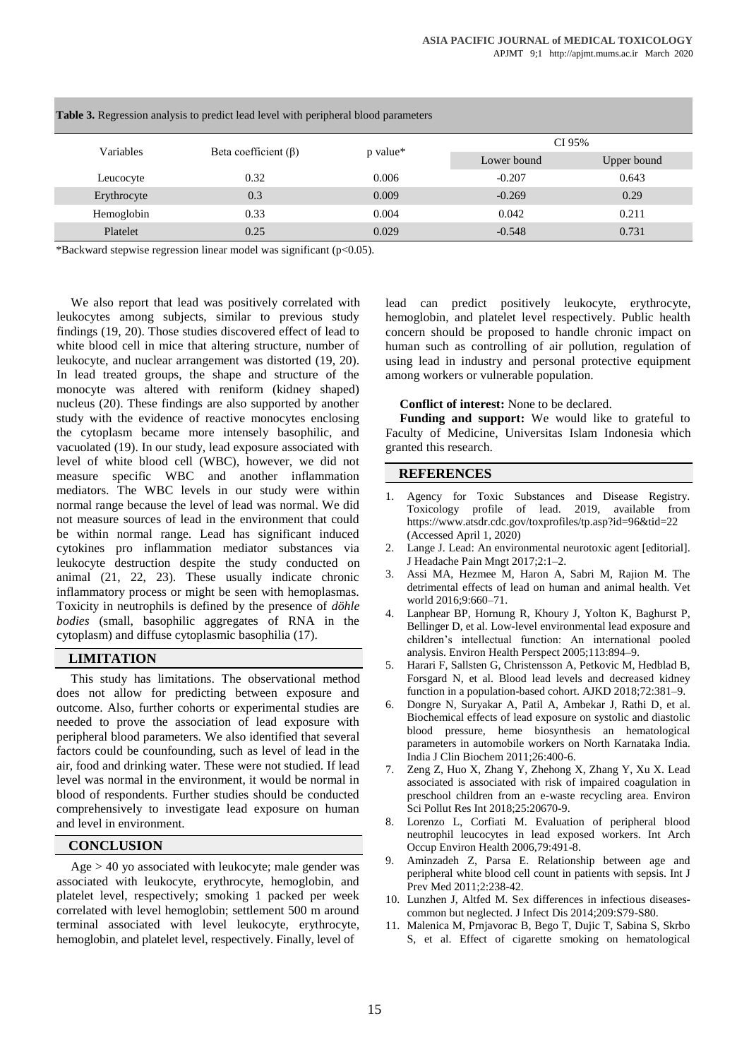| <b>Table 3.</b> Regression analysis to predict lead level with peripheral blood parameters |                            |          |             |             |  |  |  |
|--------------------------------------------------------------------------------------------|----------------------------|----------|-------------|-------------|--|--|--|
| Variables                                                                                  | Beta coefficient $(\beta)$ |          | CI 95%      |             |  |  |  |
|                                                                                            |                            | p value* | Lower bound | Upper bound |  |  |  |
| Leucocyte                                                                                  | 0.32                       | 0.006    | $-0.207$    | 0.643       |  |  |  |
| Erythrocyte                                                                                | 0.3                        | 0.009    | $-0.269$    | 0.29        |  |  |  |
| Hemoglobin                                                                                 | 0.33                       | 0.004    | 0.042       | 0.211       |  |  |  |
| Platelet                                                                                   | 0.25                       | 0.029    | $-0.548$    | 0.731       |  |  |  |

\*Backward stepwise regression linear model was significant (p<0.05).

We also report that lead was positively correlated with leukocytes among subjects, similar to previous study findings (19, 20). Those studies discovered effect of lead to white blood cell in mice that altering structure, number of leukocyte, and nuclear arrangement was distorted (19, 20). In lead treated groups, the shape and structure of the monocyte was altered with reniform (kidney shaped) nucleus (20). These findings are also supported by another study with the evidence of reactive monocytes enclosing the cytoplasm became more intensely basophilic, and vacuolated (19). In our study, lead exposure associated with level of white blood cell (WBC), however, we did not measure specific WBC and another inflammation mediators. The WBC levels in our study were within normal range because the level of lead was normal. We did not measure sources of lead in the environment that could be within normal range. Lead has significant induced cytokines pro inflammation mediator substances via leukocyte destruction despite the study conducted on animal (21, 22, 23). These usually indicate chronic inflammatory process or might be seen with hemoplasmas. Toxicity in neutrophils is defined by the presence of *döhle bodies* (small, basophilic aggregates of RNA in the cytoplasm) and diffuse cytoplasmic basophilia (17).

## **LIMITATION**

This study has limitations. The observational method does not allow for predicting between exposure and outcome. Also, further cohorts or experimental studies are needed to prove the association of lead exposure with peripheral blood parameters. We also identified that several factors could be counfounding, such as level of lead in the air, food and drinking water. These were not studied. If lead level was normal in the environment, it would be normal in blood of respondents. Further studies should be conducted comprehensively to investigate lead exposure on human and level in environment.

#### **CONCLUSION**

Age > 40 yo associated with leukocyte; male gender was associated with leukocyte, erythrocyte, hemoglobin, and platelet level, respectively; smoking 1 packed per week correlated with level hemoglobin; settlement 500 m around terminal associated with level leukocyte, erythrocyte, hemoglobin, and platelet level, respectively. Finally, level of

lead can predict positively leukocyte, erythrocyte, hemoglobin, and platelet level respectively. Public health concern should be proposed to handle chronic impact on human such as controlling of air pollution, regulation of using lead in industry and personal protective equipment among workers or vulnerable population.

#### **Conflict of interest:** None to be declared.

**Funding and support:** We would like to grateful to Faculty of Medicine, Universitas Islam Indonesia which granted this research.

### **REFERENCES**

- 1. Agency for Toxic Substances and Disease Registry. Toxicology profile of lead. 2019, available from https://www.atsdr.cdc.gov/toxprofiles/tp.asp?id=96&tid=22 (Accessed April 1, 2020)
- 2. Lange J. Lead: An environmental neurotoxic agent [editorial]. J Headache Pain Mngt 2017;2:1–2.
- 3. Assi MA, Hezmee M, Haron A, Sabri M, Rajion M. The detrimental effects of lead on human and animal health. Vet world 2016;9:660–71.
- 4. Lanphear BP, Hornung R, Khoury J, Yolton K, Baghurst P, Bellinger D, et al. Low-level environmental lead exposure and children's intellectual function: An international pooled analysis. Environ Health Perspect 2005;113:894–9.
- 5. Harari F, Sallsten G, Christensson A, Petkovic M, Hedblad B, Forsgard N, et al. Blood lead levels and decreased kidney function in a population-based cohort. AJKD 2018;72:381–9.
- 6. Dongre N, Suryakar A, Patil A, Ambekar J, Rathi D, et al. Biochemical effects of lead exposure on systolic and diastolic blood pressure, heme biosynthesis an hematological parameters in automobile workers on North Karnataka India. India J Clin Biochem 2011;26:400-6.
- 7. Zeng Z, Huo X, Zhang Y, Zhehong X, Zhang Y, Xu X. Lead associated is associated with risk of impaired coagulation in preschool children from an e-waste recycling area. Environ Sci Pollut Res Int 2018;25:20670-9.
- 8. Lorenzo L, Corfiati M. Evaluation of peripheral blood neutrophil leucocytes in lead exposed workers. Int Arch Occup Environ Health 2006,79:491-8.
- 9. Aminzadeh Z, Parsa E. Relationship between age and peripheral white blood cell count in patients with sepsis. Int J Prev Med 2011:2:238-42.
- 10. Lunzhen J, Altfed M. Sex differences in infectious diseasescommon but neglected. J Infect Dis 2014;209:S79-S80.
- 11. Malenica M, Prnjavorac B, Bego T, Dujic T, Sabina S, Skrbo S, et al. Effect of cigarette smoking on hematological